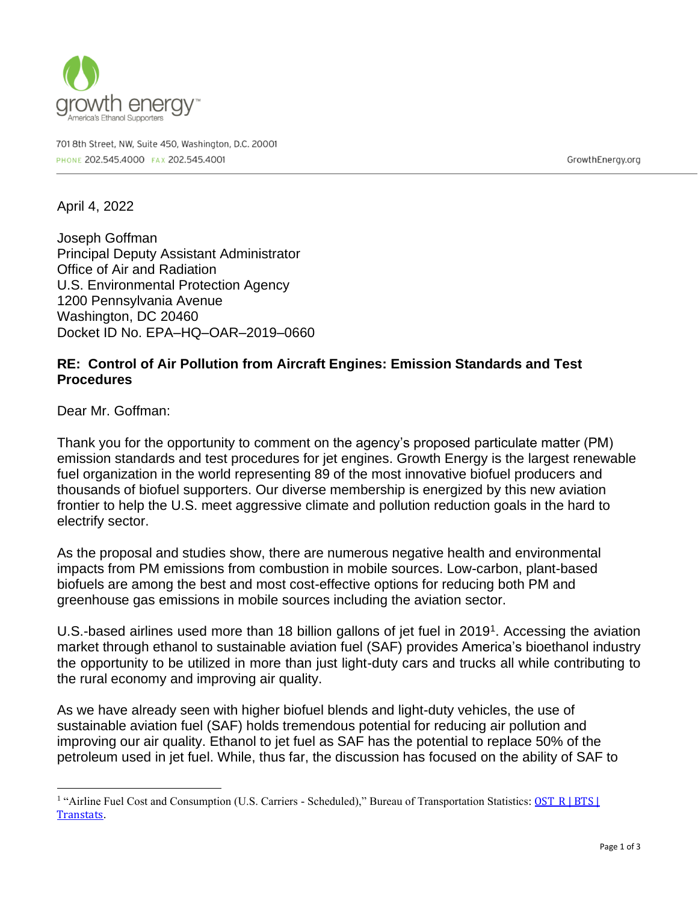

701 8th Street, NW, Suite 450, Washington, D.C. 20001 PHONE 202.545.4000 FAX 202.545.4001

GrowthEnergy.org

April 4, 2022

Joseph Goffman Principal Deputy Assistant Administrator Office of Air and Radiation U.S. Environmental Protection Agency 1200 Pennsylvania Avenue Washington, DC 20460 Docket ID No. EPA–HQ–OAR–2019–0660

## **RE: Control of Air Pollution from Aircraft Engines: Emission Standards and Test Procedures**

Dear Mr. Goffman:

Thank you for the opportunity to comment on the agency's proposed particulate matter (PM) emission standards and test procedures for jet engines. Growth Energy is the largest renewable fuel organization in the world representing 89 of the most innovative biofuel producers and thousands of biofuel supporters. Our diverse membership is energized by this new aviation frontier to help the U.S. meet aggressive climate and pollution reduction goals in the hard to electrify sector.

As the proposal and studies show, there are numerous negative health and environmental impacts from PM emissions from combustion in mobile sources. Low-carbon, plant-based biofuels are among the best and most cost-effective options for reducing both PM and greenhouse gas emissions in mobile sources including the aviation sector.

U.S.-based airlines used more than 18 billion gallons of jet fuel in 2019<sup>1</sup>. Accessing the aviation market through ethanol to sustainable aviation fuel (SAF) provides America's bioethanol industry the opportunity to be utilized in more than just light-duty cars and trucks all while contributing to the rural economy and improving air quality.

As we have already seen with higher biofuel blends and light-duty vehicles, the use of sustainable aviation fuel (SAF) holds tremendous potential for reducing air pollution and improving our air quality. Ethanol to jet fuel as SAF has the potential to replace 50% of the petroleum used in jet fuel. While, thus far, the discussion has focused on the ability of SAF to

<sup>&</sup>lt;sup>1</sup> "Airline Fuel Cost and Consumption (U.S. Carriers - Scheduled)," Bureau of Transportation Statistics: **OST\_R | BTS |** [Transtats](https://www.transtats.bts.gov/fuel.asp).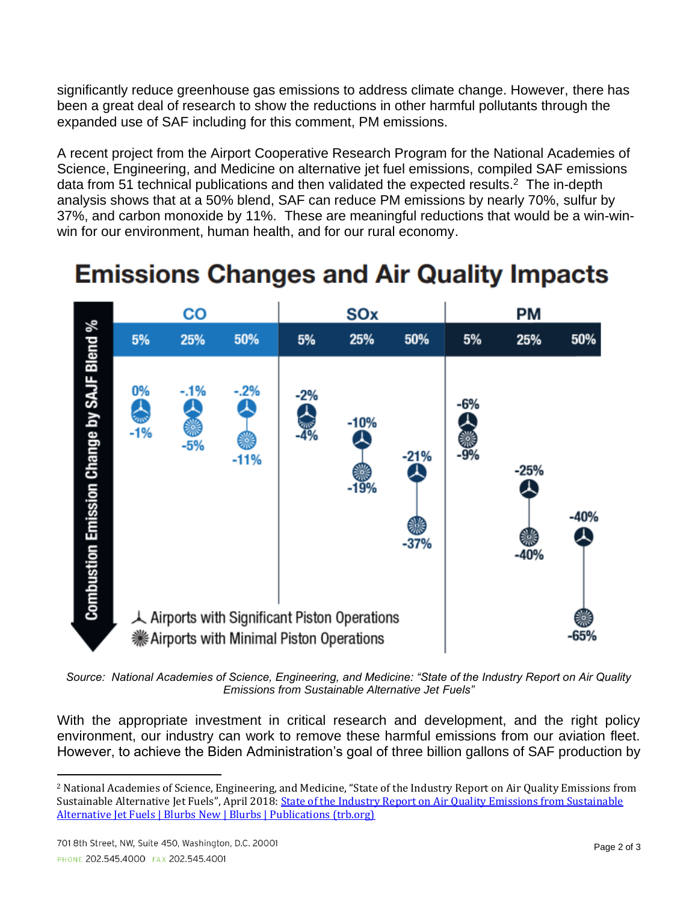significantly reduce greenhouse gas emissions to address climate change. However, there has been a great deal of research to show the reductions in other harmful pollutants through the expanded use of SAF including for this comment, PM emissions.

A recent project from the Airport Cooperative Research Program for the National Academies of Science, Engineering, and Medicine on alternative jet fuel emissions, compiled SAF emissions data from 51 technical publications and then validated the expected results.<sup>2</sup> The in-depth analysis shows that at a 50% blend, SAF can reduce PM emissions by nearly 70%, sulfur by 37%, and carbon monoxide by 11%. These are meaningful reductions that would be a win-winwin for our environment, human health, and for our rural economy.

## **Emissions Changes and Air Quality Impacts**



*Source: National Academies of Science, Engineering, and Medicine: "State of the Industry Report on Air Quality Emissions from Sustainable Alternative Jet Fuels"*

With the appropriate investment in critical research and development, and the right policy environment, our industry can work to remove these harmful emissions from our aviation fleet. However, to achieve the Biden Administration's goal of three billion gallons of SAF production by

<sup>2</sup> National Academies of Science, Engineering, and Medicine, "State of the Industry Report on Air Quality Emissions from Sustainable Alternative Jet Fuels", April 2018[: State of the Industry Report on Air Quality Emissions from Sustainable](https://www.trb.org/Publications/Blurbs/177509.aspx)  [Alternative Jet Fuels | Blurbs New | Blurbs | Publications \(trb.org\)](https://www.trb.org/Publications/Blurbs/177509.aspx)